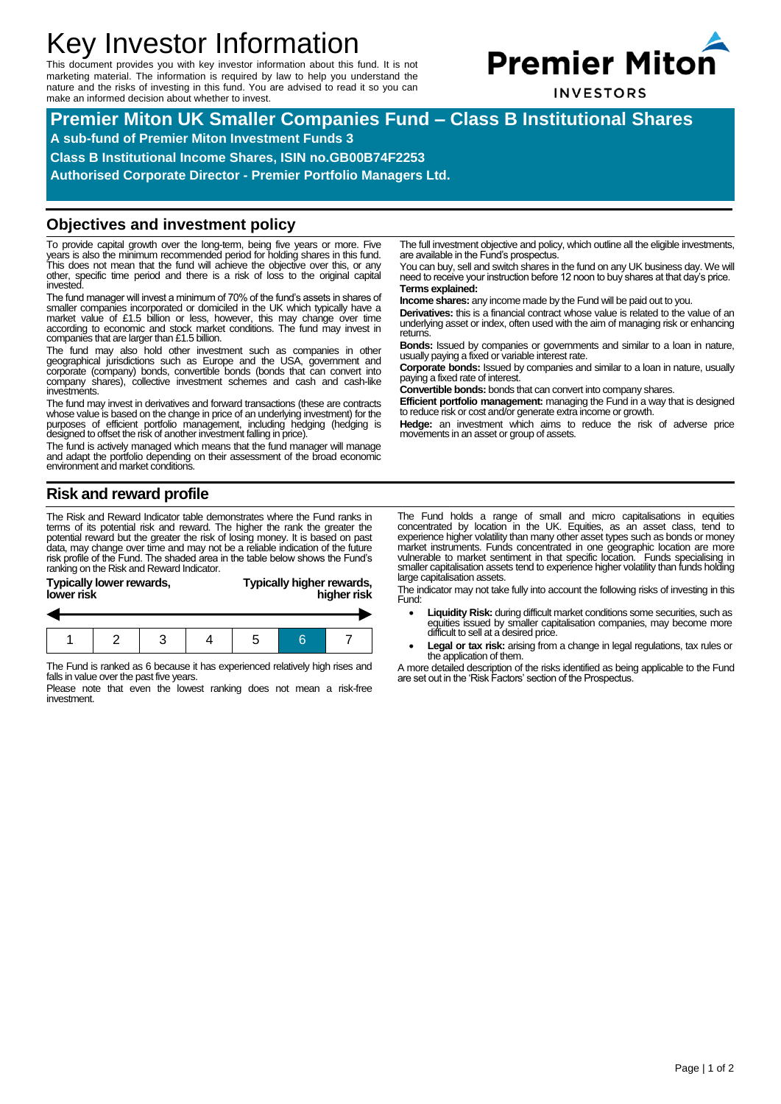# Key Investor Information

This document provides you with key investor information about this fund. It is not marketing material. The information is required by law to help you understand the nature and the risks of investing in this fund. You are advised to read it so you can make an informed decision about whether to invest.



**INVESTORS** 

**Premier Miton UK Smaller Companies Fund – Class B Institutional Shares**

**A sub-fund of Premier Miton Investment Funds 3**

**Class B Institutional Income Shares, ISIN no.GB00B74F2253**

**Authorised Corporate Director - Premier Portfolio Managers Ltd.**

#### **Objectives and investment policy**

To provide capital growth over the long-term, being five years or more. Five<br>years is also the minimum recommended period for holding shares in this fund.<br>This does not mean that the fund will achieve the objective over th other, specific time period and there is a risk of loss to the original capital invested.

The fund manager will invest a minimum of 70% of the fund's assets in shares of smaller companies incorporated or domiciled in the UK which typically have a market value of £1.5 billion or less, however, this may change over time according to economic and stock market conditions. The fund may invest in companies that are larger than £1.5 billion.

The fund may also hold other investment such as companies in other geographical jurisdictions such as Europe and the USA, government and corporate (company) bonds, convertible bonds (bonds that can convert into company shares), collective investment schemes and cash and cash-like investments.

The fund may invest in derivatives and forward transactions (these are contracts whose value is based on the change in price of an underlying investment) for the purposes of efficient portfolio management, including hedging (hedging is designed to offset the risk of another investment falling in price).

The fund is actively managed which means that the fund manager will manage and adapt the portfolio depending on their assessment of the broad economic environment and market conditions.

### **Risk and reward profile**

The Risk and Reward Indicator table demonstrates where the Fund ranks in terms of its potential risk and reward. The higher the rank the greater the potential reward but the greater the risk of losing money. It is based on past<br>data, may change over time and may not be a reliable indication of the future<br>risk profile of the Fund. The shaded area in the table below show ranking on the Risk and Reward Indicator.

| lower risk | Typically lower rewards, |  |  |  | Typically higher rewards,<br>higher risk |  |  |  |
|------------|--------------------------|--|--|--|------------------------------------------|--|--|--|
|            |                          |  |  |  |                                          |  |  |  |
|            |                          |  |  |  |                                          |  |  |  |

The Fund is ranked as 6 because it has experienced relatively high rises and falls in value over the past five years.

Please note that even the lowest ranking does not mean a risk-free investment.

The full investment objective and policy, which outline all the eligible investments, are available in the Fund's prospectus.

You can buy, sell and switch shares in the fund on any UK business day. We will need to receive your instruction before 12 noon to buy shares at that day's price.

**Terms explained: Income shares:** any income made by the Fund will be paid out to you.

**Derivatives:** this is a financial contract whose value is related to the value of an underlying asset or index, often used with the aim of managing risk or enhancing returns.

**Bonds:** Issued by companies or governments and similar to a loan in nature, usually paying a fixed or variable interest rate.

**Corporate bonds:** Issued by companies and similar to a loan in nature, usually paying a fixed rate of interest.

**Convertible bonds:** bonds that can convert into company shares.

**Efficient portfolio management:** managing the Fund in a way that is designed to reduce risk or cost and/or generate extra income or growth.

**Hedge:** an investment which aims to reduce the risk of adverse price movements in an asset or group of assets.

The Fund holds a range of small and micro capitalisations in equities concentrated by location in the UK. Equities, as an asset class, tend to experience higher volatility than many other asset types such as bonds or money market instruments. Funds concentrated in one geographic location are more vulnerable to market sentiment in that specific location. Funds specialising in smaller capitalisation assets tend to experience higher volatility than funds holding large capitalisation assets.

The indicator may not take fully into account the following risks of investing in this Fund:

- **Liquidity Risk:** during difficult market conditions some securities, such as equities issued by smaller capitalisation companies, may become more difficult to sell at a desired price.
- **Legal or tax risk:** arising from a change in legal regulations, tax rules or the application of them.

A more detailed description of the risks identified as being applicable to the Fund are set out in the 'Risk Factors' section of the Prospectus.